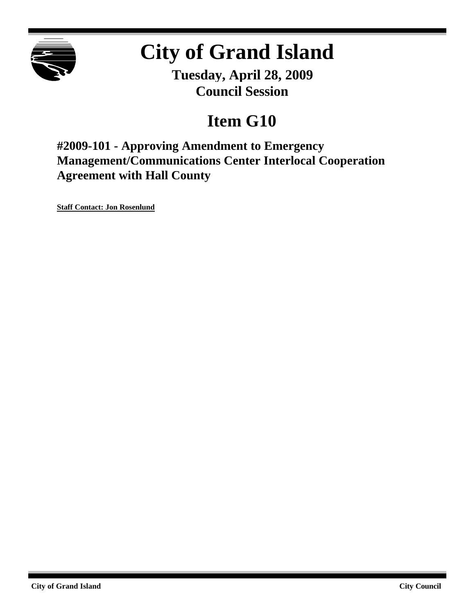

# **City of Grand Island**

**Tuesday, April 28, 2009 Council Session**

# **Item G10**

**#2009-101 - Approving Amendment to Emergency Management/Communications Center Interlocal Cooperation Agreement with Hall County**

**Staff Contact: Jon Rosenlund**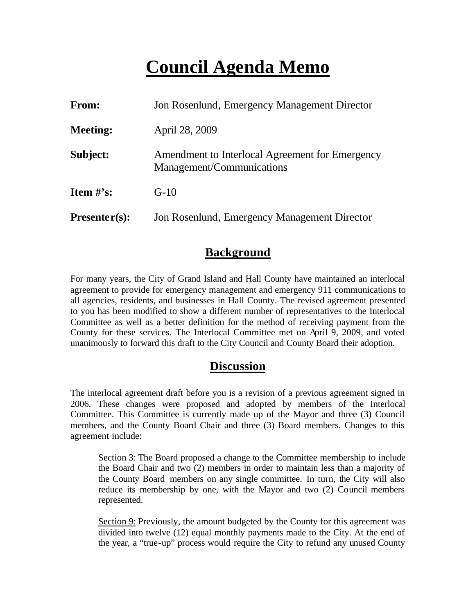# **Council Agenda Memo**

| <b>From:</b>    | Jon Rosenlund, Emergency Management Director                                 |  |  |
|-----------------|------------------------------------------------------------------------------|--|--|
| <b>Meeting:</b> | April 28, 2009                                                               |  |  |
| Subject:        | Amendment to Interlocal Agreement for Emergency<br>Management/Communications |  |  |
| Item $#$ 's:    | $G-10$                                                                       |  |  |
| $Presenter(s):$ | Jon Rosenlund, Emergency Management Director                                 |  |  |

### **Background**

For many years, the City of Grand Island and Hall County have maintained an interlocal agreement to provide for emergency management and emergency 911 communications to all agencies, residents, and businesses in Hall County. The revised agreement presented to you has been modified to show a different number of representatives to the Interlocal Committee as well as a better definition for the method of receiving payment from the County for these services. The Interlocal Committee met on April 9, 2009, and voted unanimously to forward this draft to the City Council and County Board their adoption.

#### **Discussion**

The interlocal agreement draft before you is a revision of a previous agreement signed in 2006. These changes were proposed and adopted by members of the Interlocal Committee. This Committee is currently made up of the Mayor and three (3) Council members, and the County Board Chair and three (3) Board members. Changes to this agreement include:

Section 3: The Board proposed a change to the Committee membership to include the Board Chair and two (2) members in order to maintain less than a majority of the County Board members on any single committee. In turn, the City will also reduce its membership by one, with the Mayor and two (2) Council members represented.

Section 9: Previously, the amount budgeted by the County for this agreement was divided into twelve (12) equal monthly payments made to the City. At the end of the year, a "true-up" process would require the City to refund any unused County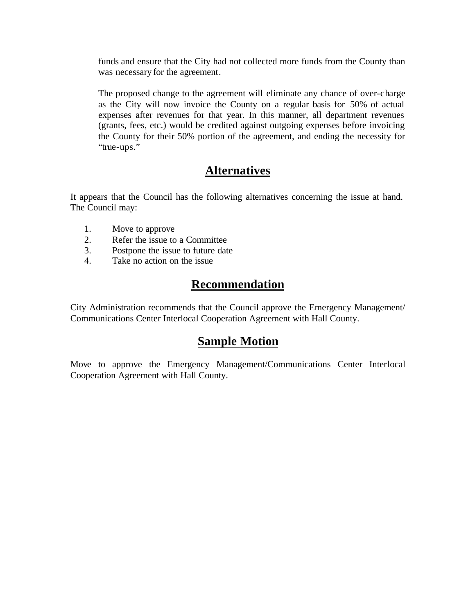funds and ensure that the City had not collected more funds from the County than was necessary for the agreement.

The proposed change to the agreement will eliminate any chance of over-charge as the City will now invoice the County on a regular basis for 50% of actual expenses after revenues for that year. In this manner, all department revenues (grants, fees, etc.) would be credited against outgoing expenses before invoicing the County for their 50% portion of the agreement, and ending the necessity for "true-ups."

### **Alternatives**

It appears that the Council has the following alternatives concerning the issue at hand. The Council may:

- 1. Move to approve
- 2. Refer the issue to a Committee
- 3. Postpone the issue to future date
- 4. Take no action on the issue

### **Recommendation**

City Administration recommends that the Council approve the Emergency Management/ Communications Center Interlocal Cooperation Agreement with Hall County.

#### **Sample Motion**

Move to approve the Emergency Management/Communications Center Interlocal Cooperation Agreement with Hall County.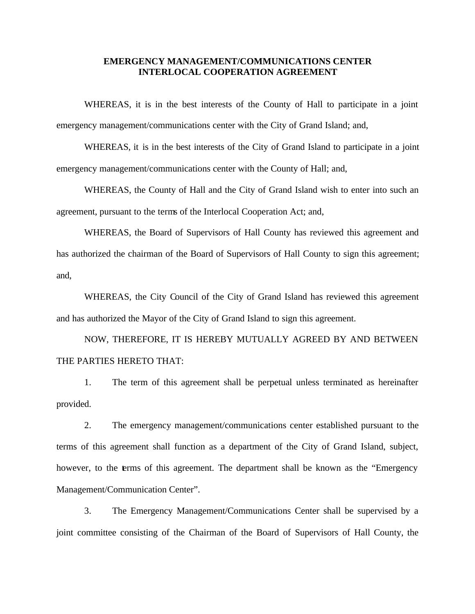#### **EMERGENCY MANAGEMENT/COMMUNICATIONS CENTER INTERLOCAL COOPERATION AGREEMENT**

WHEREAS, it is in the best interests of the County of Hall to participate in a joint emergency management/communications center with the City of Grand Island; and,

WHEREAS, it is in the best interests of the City of Grand Island to participate in a joint emergency management/communications center with the County of Hall; and,

WHEREAS, the County of Hall and the City of Grand Island wish to enter into such an agreement, pursuant to the terms of the Interlocal Cooperation Act; and,

WHEREAS, the Board of Supervisors of Hall County has reviewed this agreement and has authorized the chairman of the Board of Supervisors of Hall County to sign this agreement; and,

WHEREAS, the City Council of the City of Grand Island has reviewed this agreement and has authorized the Mayor of the City of Grand Island to sign this agreement.

NOW, THEREFORE, IT IS HEREBY MUTUALLY AGREED BY AND BETWEEN THE PARTIES HERETO THAT:

1. The term of this agreement shall be perpetual unless terminated as hereinafter provided.

2. The emergency management/communications center established pursuant to the terms of this agreement shall function as a department of the City of Grand Island, subject, however, to the terms of this agreement. The department shall be known as the "Emergency" Management/Communication Center".

3. The Emergency Management/Communications Center shall be supervised by a joint committee consisting of the Chairman of the Board of Supervisors of Hall County, the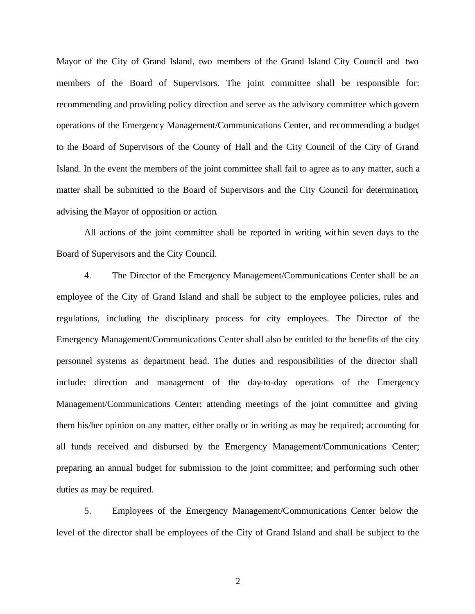Mayor of the City of Grand Island, two members of the Grand Island City Council and two members of the Board of Supervisors. The joint committee shall be responsible for: recommending and providing policy direction and serve as the advisory committee which govern operations of the Emergency Management/Communications Center, and recommending a budget to the Board of Supervisors of the County of Hall and the City Council of the City of Grand Island. In the event the members of the joint committee shall fail to agree as to any matter, such a matter shall be submitted to the Board of Supervisors and the City Council for determination, advising the Mayor of opposition or action.

All actions of the joint committee shall be reported in writing within seven days to the Board of Supervisors and the City Council.

4. The Director of the Emergency Management/Communications Center shall be an employee of the City of Grand Island and shall be subject to the employee policies, rules and regulations, including the disciplinary process for city employees. The Director of the Emergency Management/Communications Center shall also be entitled to the benefits of the city personnel systems as department head. The duties and responsibilities of the director shall include: direction and management of the day-to-day operations of the Emergency Management/Communications Center; attending meetings of the joint committee and giving them his/her opinion on any matter, either orally or in writing as may be required; accounting for all funds received and disbursed by the Emergency Management/Communications Center; preparing an annual budget for submission to the joint committee; and performing such other duties as may be required.

5. Employees of the Emergency Management/Communications Center below the level of the director shall be employees of the City of Grand Island and shall be subject to the

2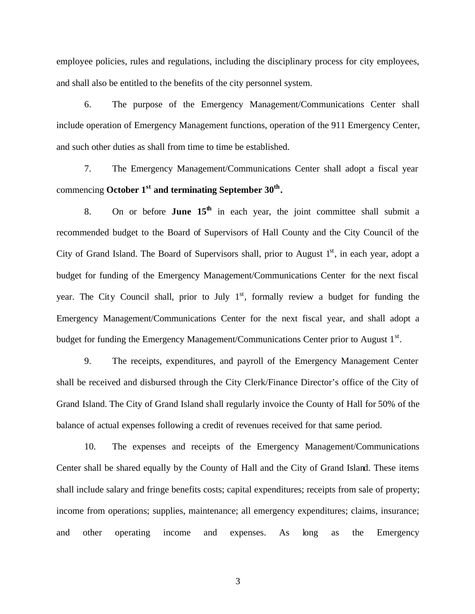employee policies, rules and regulations, including the disciplinary process for city employees, and shall also be entitled to the benefits of the city personnel system.

6. The purpose of the Emergency Management/Communications Center shall include operation of Emergency Management functions, operation of the 911 Emergency Center, and such other duties as shall from time to time be established.

7. The Emergency Management/Communications Center shall adopt a fiscal year commencing **October 1 st and terminating September 30th .**

8. On or before **June**  $15<sup>th</sup>$  in each year, the joint committee shall submit a recommended budget to the Board of Supervisors of Hall County and the City Council of the City of Grand Island. The Board of Supervisors shall, prior to August  $1<sup>st</sup>$ , in each year, adopt a budget for funding of the Emergency Management/Communications Center for the next fiscal year. The City Council shall, prior to July 1<sup>st</sup>, formally review a budget for funding the Emergency Management/Communications Center for the next fiscal year, and shall adopt a budget for funding the Emergency Management/Communications Center prior to August  $1<sup>st</sup>$ .

9. The receipts, expenditures, and payroll of the Emergency Management Center shall be received and disbursed through the City Clerk/Finance Director's office of the City of Grand Island. The City of Grand Island shall regularly invoice the County of Hall for 50% of the balance of actual expenses following a credit of revenues received for that same period.

10. The expenses and receipts of the Emergency Management/Communications Center shall be shared equally by the County of Hall and the City of Grand Island. These items shall include salary and fringe benefits costs; capital expenditures; receipts from sale of property; income from operations; supplies, maintenance; all emergency expenditures; claims, insurance; and other operating income and expenses. As long as the Emergency

3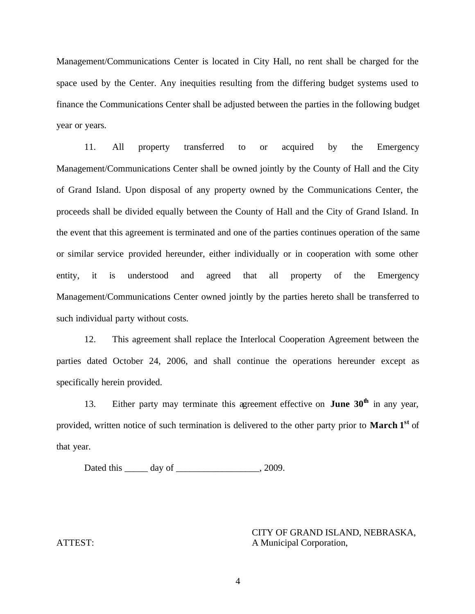Management/Communications Center is located in City Hall, no rent shall be charged for the space used by the Center. Any inequities resulting from the differing budget systems used to finance the Communications Center shall be adjusted between the parties in the following budget year or years.

11. All property transferred to or acquired by the Emergency Management/Communications Center shall be owned jointly by the County of Hall and the City of Grand Island. Upon disposal of any property owned by the Communications Center, the proceeds shall be divided equally between the County of Hall and the City of Grand Island. In the event that this agreement is terminated and one of the parties continues operation of the same or similar service provided hereunder, either individually or in cooperation with some other entity, it is understood and agreed that all property of the Emergency Management/Communications Center owned jointly by the parties hereto shall be transferred to such individual party without costs.

12. This agreement shall replace the Interlocal Cooperation Agreement between the parties dated October 24, 2006, and shall continue the operations hereunder except as specifically herein provided.

13. Either party may terminate this agreement effective on **June 30th** in any year, provided, written notice of such termination is delivered to the other party prior to **March 1st** of that year.

Dated this \_\_\_\_\_\_ day of \_\_\_\_\_\_\_\_\_\_\_\_\_\_\_\_\_\_\_, 2009.

CITY OF GRAND ISLAND, NEBRASKA, ATTEST: A Municipal Corporation,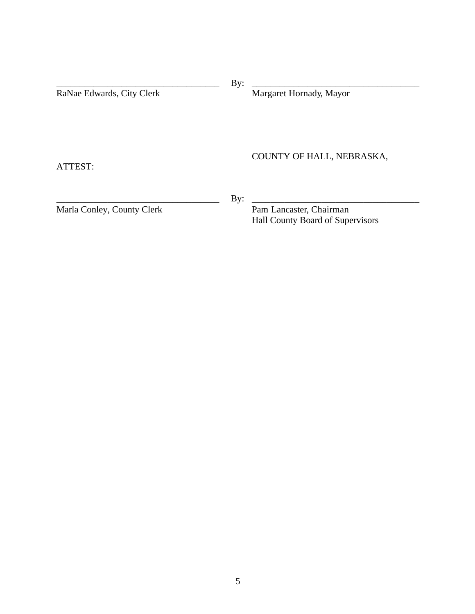| Margaret Hornady, Mayor                                     |  |
|-------------------------------------------------------------|--|
|                                                             |  |
|                                                             |  |
| COUNTY OF HALL, NEBRASKA,                                   |  |
|                                                             |  |
|                                                             |  |
| Pam Lancaster, Chairman<br>Hall County Board of Supervisors |  |
| By:<br>By:                                                  |  |